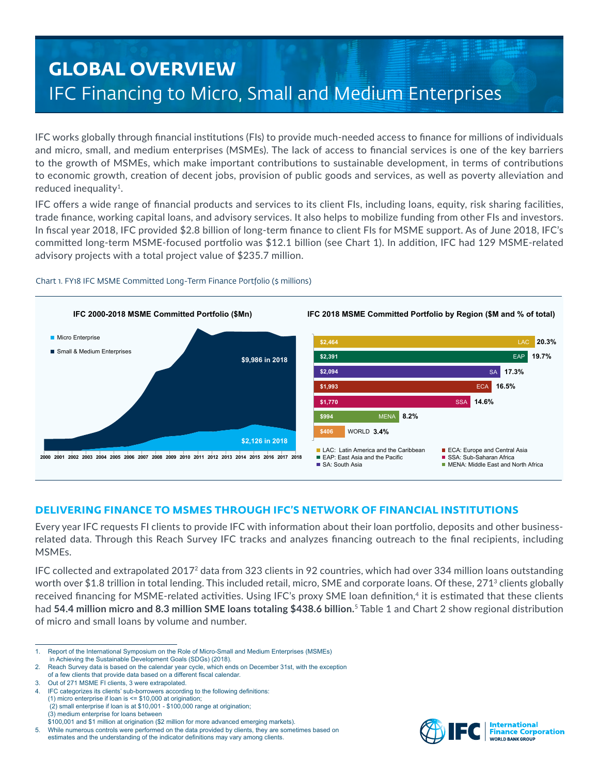# **GLOBAL OVERVIEW** IFC Financing to Micro, Small and Medium Enterprises

IFC works globally through financial institutions (FIs) to provide much-needed access to finance for millions of individuals and micro, small, and medium enterprises (MSMEs). The lack of access to financial services is one of the key barriers to the growth of MSMEs, which make important contributions to sustainable development, in terms of contributions to economic growth, creation of decent jobs, provision of public goods and services, as well as poverty alleviation and reduced inequality<sup>1</sup>.

IFC offers a wide range of financial products and services to its client FIs, including loans, equity, risk sharing facilities, trade finance, working capital loans, and advisory services. It also helps to mobilize funding from other FIs and investors. In fiscal year 2018, IFC provided \$2.8 billion of long-term finance to client FIs for MSME support. As of June 2018, IFC's committed long-term MSME-focused portfolio was \$12.1 billion (see Chart 1). In addition, IFC had 129 MSME-related advisory projects with a total project value of \$235.7 million.



#### Chart 1. FY18 IFC MSME Committed Long-Term Finance Portfolio (\$ millions)

# **DELIVERING FINANCE TO MSMES THROUGH IFC'S NETWORK OF FINANCIAL INSTITUTIONS**

Every year IFC requests FI clients to provide IFC with information about their loan portfolio, deposits and other businessrelated data. Through this Reach Survey IFC tracks and analyzes financing outreach to the final recipients, including MSMEs.

IFC collected and extrapolated 20172 data from 323 clients in 92 countries, which had over 334 million loans outstanding worth over \$1.8 trillion in total lending. This included retail, micro, SME and corporate loans. Of these, 271<sup>3</sup> clients globally received financing for MSME-related activities. Using IFC's proxy SME loan definition,<sup>4</sup> it is estimated that these clients had **54.4 million micro and 8.3 million SME loans totaling \$438.6 billion.**<sup>5</sup> Table 1 and Chart 2 show regional distribution of micro and small loans by volume and number.

5. While numerous controls were performed on the data provided by clients, they are sometimes based on





<sup>1.</sup> Report of the International Symposium on the Role of Micro-Small and Medium Enterprises (MSMEs) in Achieving the Sustainable Development Goals (SDGs) (2018).

<sup>2.</sup> Reach Survey data is based on the calendar year cycle, which ends on December 31st, with the exception of a few clients that provide data based on a different fiscal calendar.

<sup>3.</sup> Out of 271 MSME FI clients, 3 were extrapolated.

IFC categorizes its clients' sub-borrowers according to the following definitions: (1) micro enterprise if loan is  $\leq$  \$10,000 at origination; (2) small enterprise if loan is at \$10,001 - \$100,000 range at origination; (3) medium enterprise for loans between

<sup>\$100,001</sup> and \$1 million at origination (\$2 million for more advanced emerging markets).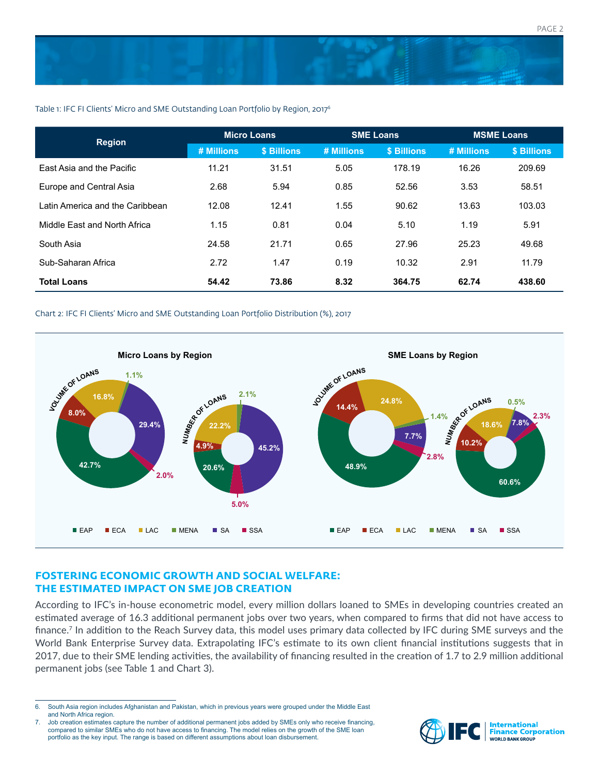

#### Table 1: IFC FI Clients' Micro and SME Outstanding Loan Portfolio by Region, 2017<sup>6</sup>

| <b>Region</b>                   | <b>Micro Loans</b> |             | <b>SME Loans</b> |             | <b>MSME Loans</b> |             |
|---------------------------------|--------------------|-------------|------------------|-------------|-------------------|-------------|
|                                 | # Millions         | \$ Billions | # Millions       | \$ Billions | # Millions        | \$ Billions |
| East Asia and the Pacific       | 11.21              | 31.51       | 5.05             | 178.19      | 16.26             | 209.69      |
| Europe and Central Asia         | 2.68               | 5.94        | 0.85             | 52.56       | 3.53              | 58.51       |
| Latin America and the Caribbean | 12.08              | 12.41       | 1.55             | 90.62       | 13.63             | 103.03      |
| Middle East and North Africa    | 1.15               | 0.81        | 0.04             | 5.10        | 1.19              | 5.91        |
| South Asia                      | 24.58              | 21.71       | 0.65             | 27.96       | 25.23             | 49.68       |
| Sub-Saharan Africa              | 2.72               | 1.47        | 0.19             | 10.32       | 2.91              | 11.79       |
| <b>Total Loans</b>              | 54.42              | 73.86       | 8.32             | 364.75      | 62.74             | 438.60      |

#### Chart 2: IFC FI Clients' Micro and SME Outstanding Loan Portfolio Distribution (%), 2017



# **FOSTERING ECONOMIC GROWTH AND SOCIAL WELFARE: THE ESTIMATED IMPACT ON SME JOB CREATION**

According to IFC's in-house econometric model, every million dollars loaned to SMEs in developing countries created an estimated average of 16.3 additional permanent jobs over two years, when compared to firms that did not have access to finance.7 In addition to the Reach Survey data, this model uses primary data collected by IFC during SME surveys and the World Bank Enterprise Survey data. Extrapolating IFC's estimate to its own client financial institutions suggests that in 2017, due to their SME lending activities, the availability of financing resulted in the creation of 1.7 to 2.9 million additional permanent jobs (see Table 1 and Chart 3).

<sup>7.</sup> Job creation estimates capture the number of additional permanent jobs added by SMEs only who receive financing, compared to similar SMEs who do not have access to financing. The model relies on the growth of the SME loan portfolio as the key input. The range is based on different assumptions about loan disbursement.



<sup>6.</sup> South Asia region includes Afghanistan and Pakistan, which in previous years were grouped under the Middle East and North Africa region.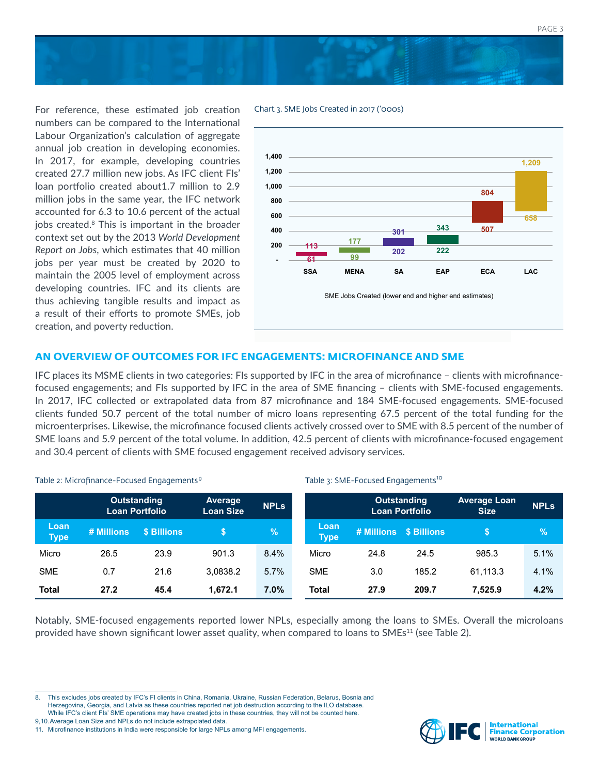



For reference, these estimated job creation numbers can be compared to the International Labour Organization's calculation of aggregate annual job creation in developing economies. In 2017, for example, developing countries created 27.7 million new jobs. As IFC client FIs' loan portfolio created about1.7 million to 2.9 million jobs in the same year, the IFC network accounted for 6.3 to 10.6 percent of the actual jobs created.<sup>8</sup> This is important in the broader context set out by the 2013 *World Development Report on Jobs*, which estimates that 40 million jobs per year must be created by 2020 to maintain the 2005 level of employment across developing countries. IFC and its clients are thus achieving tangible results and impact as a result of their efforts to promote SMEs, job creation, and poverty reduction.





# **AN OVERVIEW OF OUTCOMES FOR IFC ENGAGEMENTS: MICROFINANCE AND SME**

IFC places its MSME clients in two categories: FIs supported by IFC in the area of microfinance – clients with microfinancefocused engagements; and FIs supported by IFC in the area of SME financing – clients with SME-focused engagements. In 2017, IFC collected or extrapolated data from 87 microfinance and 184 SME-focused engagements. SME-focused clients funded 50.7 percent of the total number of micro loans representing 67.5 percent of the total funding for the microenterprises. Likewise, the microfinance focused clients actively crossed over to SME with 8.5 percent of the number of SME loans and 5.9 percent of the total volume. In addition, 42.5 percent of clients with microfinance-focused engagement and 30.4 percent of clients with SME focused engagement received advisory services.

Table 3: SME-Focused Engagements<sup>10</sup>

#### **Outstanding Loan Portfolio Average Loan Size NPLs Loan Type # Millions \$ Billions \$ %** Micro 26.5 23.9 901.3 8.4% SME 0.7 21.6 3,0838.2 5.7% **Total 27.2 45.4 1,672.1 7.0% Outstanding Loan Portfolio Average Loan Size NPLs Loan Type # Millions \$ Billions \$ %** Micro 24.8 24.5 985.3 5.1% SME 3.0 185.2 61,113.3 4.1% **Total 27.9 209.7 7,525.9 4.2%**

Table 2: Microfinance-Focused Engagements<sup>9</sup>

Notably, SME-focused engagements reported lower NPLs, especially among the loans to SMEs. Overall the microloans provided have shown significant lower asset quality, when compared to loans to  $SMEs<sup>11</sup>$  (see Table 2).



<sup>8.</sup> This excludes jobs created by IFC's FI clients in China, Romania, Ukraine, Russian Federation, Belarus, Bosnia and Herzegovina, Georgia, and Latvia as these countries reported net job destruction according to the ILO database. While IFC's client FIs' SME operations may have created jobs in these countries, they will not be counted here. 9,10.Average Loan Size and NPLs do not include extrapolated data.

<sup>11.</sup> Microfinance institutions in India were responsible for large NPLs among MFI engagements.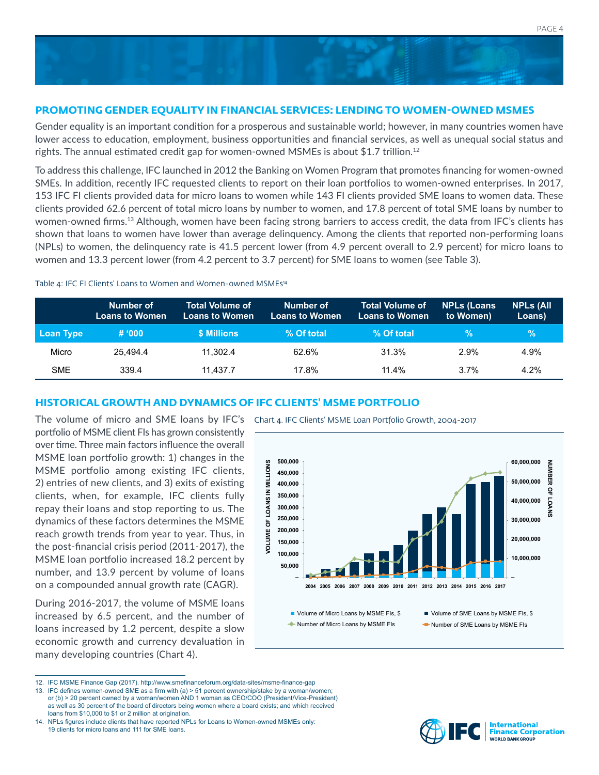

# **PROMOTING GENDER EQUALITY IN FINANCIAL SERVICES: LENDING TO WOMEN-OWNED MSMES**

Gender equality is an important condition for a prosperous and sustainable world; however, in many countries women have lower access to education, employment, business opportunities and financial services, as well as unequal social status and rights. The annual estimated credit gap for women-owned MSMEs is about  $$1.7$  trillion.<sup>12</sup>

To address this challenge, IFC launched in 2012 the Banking on Women Program that promotes financing for women-owned SMEs. In addition, recently IFC requested clients to report on their loan portfolios to women-owned enterprises. In 2017, 153 IFC FI clients provided data for micro loans to women while 143 FI clients provided SME loans to women data. These clients provided 62.6 percent of total micro loans by number to women, and 17.8 percent of total SME loans by number to women-owned firms.13 Although, women have been facing strong barriers to access credit, the data from IFC's clients has shown that loans to women have lower than average delinquency. Among the clients that reported non-performing loans (NPLs) to women, the delinquency rate is 41.5 percent lower (from 4.9 percent overall to 2.9 percent) for micro loans to women and 13.3 percent lower (from 4.2 percent to 3.7 percent) for SME loans to women (see Table 3).

#### Table 4: IFC FI Clients' Loans to Women and Women-owned MSMEs<sup>14</sup>

|            | Number of<br><b>Loans to Women</b> | <b>Total Volume of</b><br><b>Loans to Women</b> | Number of<br><b>Loans to Women</b> | <b>Total Volume of</b><br><b>Loans to Women</b> | <b>NPLs (Loans</b><br>to Women) | <b>NPLs (All</b><br>Loans) |
|------------|------------------------------------|-------------------------------------------------|------------------------------------|-------------------------------------------------|---------------------------------|----------------------------|
| Loan Type  | # 000                              | \$ Millions                                     | % Of total                         | % Of total                                      | $\sqrt{2}$                      | $\%$                       |
| Micro      | 25.494.4                           | 11.302.4                                        | 62.6%                              | 31.3%                                           | 2.9%                            | 4.9%                       |
| <b>SME</b> | 339.4                              | 11.437.7                                        | 17.8%                              | 11.4%                                           | 3.7%                            | 4.2%                       |

# **HISTORICAL GROWTH AND DYNAMICS OF IFC CLIENTS' MSME PORTFOLIO**

portfolio of MSME client FIs has grown consistently over time. Three main factors influence the overall MSME loan portfolio growth: 1) changes in the MSME portfolio among existing IFC clients, 2) entries of new clients, and 3) exits of existing clients, when, for example, IFC clients fully repay their loans and stop reporting to us. The dynamics of these factors determines the MSME reach growth trends from year to year. Thus, in the post-financial crisis period (2011-2017), the MSME loan portfolio increased 18.2 percent by number, and 13.9 percent by volume of loans on a compounded annual growth rate (CAGR).

During 2016-2017, the volume of MSME loans increased by 6.5 percent, and the number of loans increased by 1.2 percent, despite a slow economic growth and currency devaluation in many developing countries (Chart 4).

The volume of micro and SME loans by IFC's Chart 4. IFC Clients' MSME Loan Portfolio Growth, 2004-2017



<sup>12.</sup> IFC MSME Finance Gap (2017). http://www.smefinanceforum.org/data-sites/msme-finance-gap



<sup>13.</sup> IFC defines women-owned SME as a firm with (a) > 51 percent ownership/stake by a woman/women; or (b) > 20 percent owned by a woman/women AND 1 woman as CEO/COO (President/Vice-President) as well as 30 percent of the board of directors being women where a board exists; and which received

loans from \$10,000 to \$1 or 2 million at origination. 14. NPLs figures include clients that have reported NPLs for Loans to Women-owned MSMEs only: 19 clients for micro loans and 111 for SME loans.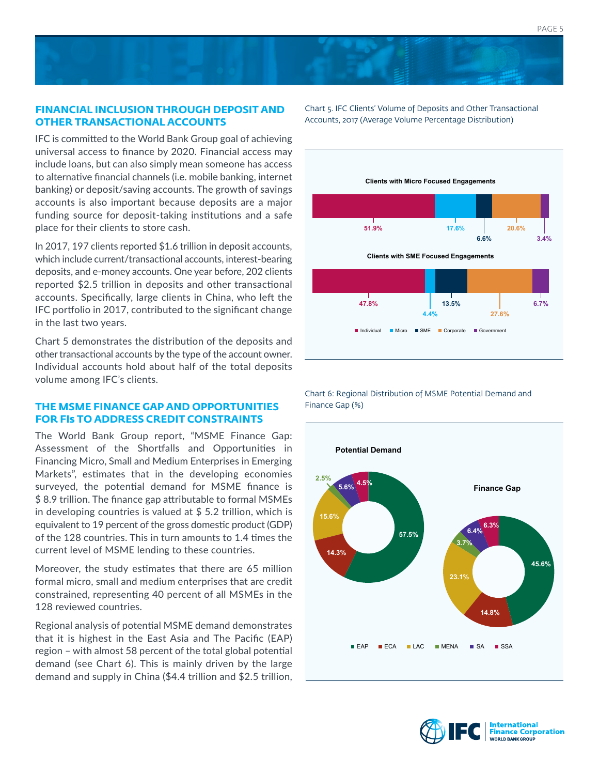# **FINANCIAL INCLUSION THROUGH DEPOSIT AND OTHER TRANSACTIONAL ACCOUNTS**

IFC is committed to the World Bank Group goal of achieving universal access to finance by 2020. Financial access may include loans, but can also simply mean someone has access to alternative financial channels (i.e. mobile banking, internet banking) or deposit/saving accounts. The growth of savings accounts is also important because deposits are a major funding source for deposit-taking institutions and a safe place for their clients to store cash.

In 2017, 197 clients reported \$1.6 trillion in deposit accounts, which include current/transactional accounts, interest-bearing deposits, and e-money accounts. One year before, 202 clients reported \$2.5 trillion in deposits and other transactional accounts. Specifically, large clients in China, who left the IFC portfolio in 2017, contributed to the significant change in the last two years.

Chart 5 demonstrates the distribution of the deposits and other transactional accounts by the type of the account owner. Individual accounts hold about half of the total deposits volume among IFC's clients.

# **THE MSME FINANCE GAP AND OPPORTUNITIES FOR FIs TO ADDRESS CREDIT CONSTRAINTS**

The World Bank Group report, "MSME Finance Gap: Assessment of the Shortfalls and Opportunities in Financing Micro, Small and Medium Enterprises in Emerging Markets", estimates that in the developing economies surveyed, the potential demand for MSME finance is \$ 8.9 trillion. The finance gap attributable to formal MSMEs in developing countries is valued at \$ 5.2 trillion, which is equivalent to 19 percent of the gross domestic product (GDP) of the 128 countries. This in turn amounts to 1.4 times the current level of MSME lending to these countries.

Moreover, the study estimates that there are 65 million formal micro, small and medium enterprises that are credit constrained, representing 40 percent of all MSMEs in the 128 reviewed countries.

Regional analysis of potential MSME demand demonstrates that it is highest in the East Asia and The Pacific (EAP) region – with almost 58 percent of the total global potential demand (see Chart 6). This is mainly driven by the large demand and supply in China (\$4.4 trillion and \$2.5 trillion,

Chart 5. IFC Clients' Volume of Deposits and Other Transactional Accounts, 2017 (Average Volume Percentage Distribution)



Chart 6: Regional Distribution of MSME Potential Demand and Finance Gap (%)



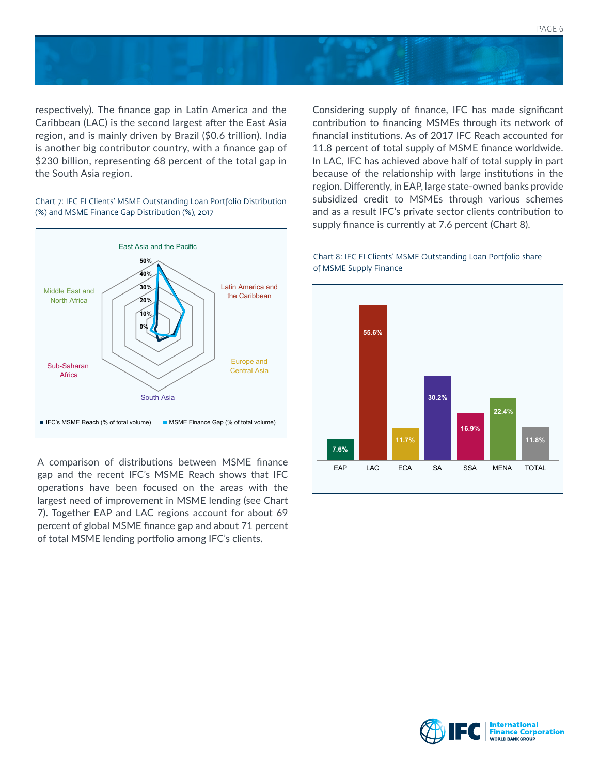



respectively). The finance gap in Latin America and the Caribbean (LAC) is the second largest after the East Asia region, and is mainly driven by Brazil (\$0.6 trillion). India is another big contributor country, with a finance gap of \$230 billion, representing 68 percent of the total gap in the South Asia region.

Chart 7: IFC FI Clients' MSME Outstanding Loan Portfolio Distribution (%) and MSME Finance Gap Distribution (%), 2017



gap and the recent IFC's MSME Reach shows that IFC operations have been focused on the areas with the largest need of improvement in MSME lending (see Chart 7). Together EAP and LAC regions account for about 69 percent of global MSME finance gap and about 71 percent of total MSME lending portfolio among IFC's clients.

Considering supply of finance, IFC has made significant contribution to financing MSMEs through its network of financial institutions. As of 2017 IFC Reach accounted for 11.8 percent of total supply of MSME finance worldwide. In LAC, IFC has achieved above half of total supply in part because of the relationship with large institutions in the region. Differently, in EAP, large state-owned banks provide subsidized credit to MSMEs through various schemes and as a result IFC's private sector clients contribution to supply finance is currently at 7.6 percent (Chart 8).

#### Chart 8: IFC FI Clients' MSME Outstanding Loan Portfolio share of MSME Supply Finance